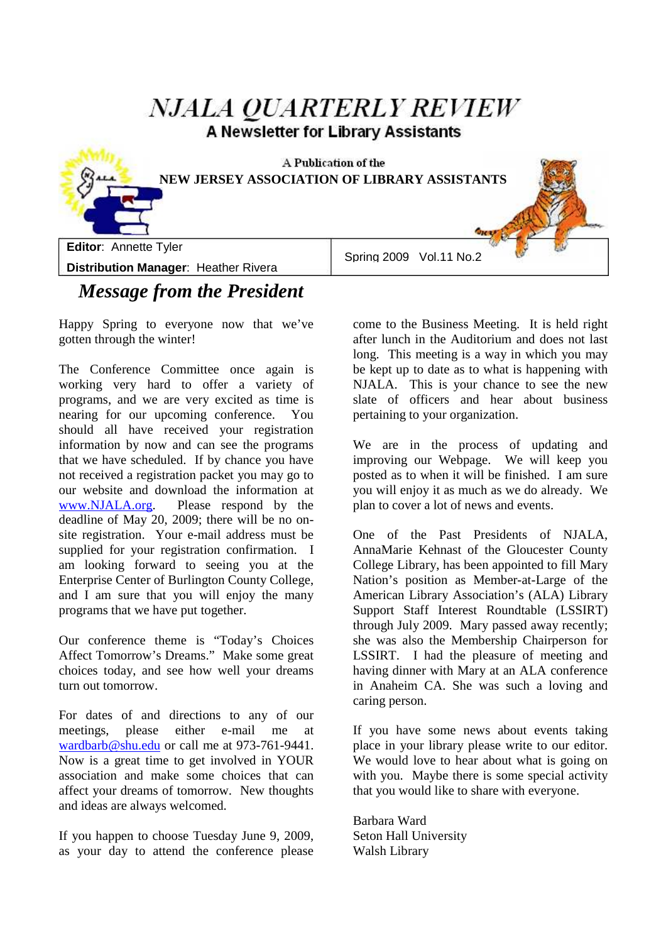# **NJALA OUARTERLY REVIEW** A Newsletter for Library Assistants A Publication of the **NEW JERSEY ASSOCIATION OF LIBRARY ASSISTANTS Editor**: Annette Tyler Spring 2009 Vol.11 No.2 **Distribution Manager**: Heather Rivera

## *Message from the President*

Happy Spring to everyone now that we've gotten through the winter!

The Conference Committee once again is working very hard to offer a variety of programs, and we are very excited as time is nearing for our upcoming conference. You should all have received your registration information by now and can see the programs that we have scheduled. If by chance you have not received a registration packet you may go to our website and download the information at www.NJALA.org. Please respond by the deadline of May 20, 2009; there will be no onsite registration. Your e-mail address must be supplied for your registration confirmation. I am looking forward to seeing you at the Enterprise Center of Burlington County College, and I am sure that you will enjoy the many programs that we have put together.

Our conference theme is "Today's Choices Affect Tomorrow's Dreams." Make some great choices today, and see how well your dreams turn out tomorrow.

For dates of and directions to any of our meetings, please either e-mail me at wardbarb@shu.edu or call me at 973-761-9441. Now is a great time to get involved in YOUR association and make some choices that can affect your dreams of tomorrow. New thoughts and ideas are always welcomed.

If you happen to choose Tuesday June 9, 2009, as your day to attend the conference please come to the Business Meeting. It is held right after lunch in the Auditorium and does not last long. This meeting is a way in which you may be kept up to date as to what is happening with NJALA. This is your chance to see the new slate of officers and hear about business pertaining to your organization.

We are in the process of updating and improving our Webpage. We will keep you posted as to when it will be finished. I am sure you will enjoy it as much as we do already. We plan to cover a lot of news and events.

One of the Past Presidents of NJALA, AnnaMarie Kehnast of the Gloucester County College Library, has been appointed to fill Mary Nation's position as Member-at-Large of the American Library Association's (ALA) Library Support Staff Interest Roundtable (LSSIRT) through July 2009. Mary passed away recently; she was also the Membership Chairperson for LSSIRT. I had the pleasure of meeting and having dinner with Mary at an ALA conference in Anaheim CA. She was such a loving and caring person.

If you have some news about events taking place in your library please write to our editor. We would love to hear about what is going on with you. Maybe there is some special activity that you would like to share with everyone.

Barbara Ward Seton Hall University Walsh Library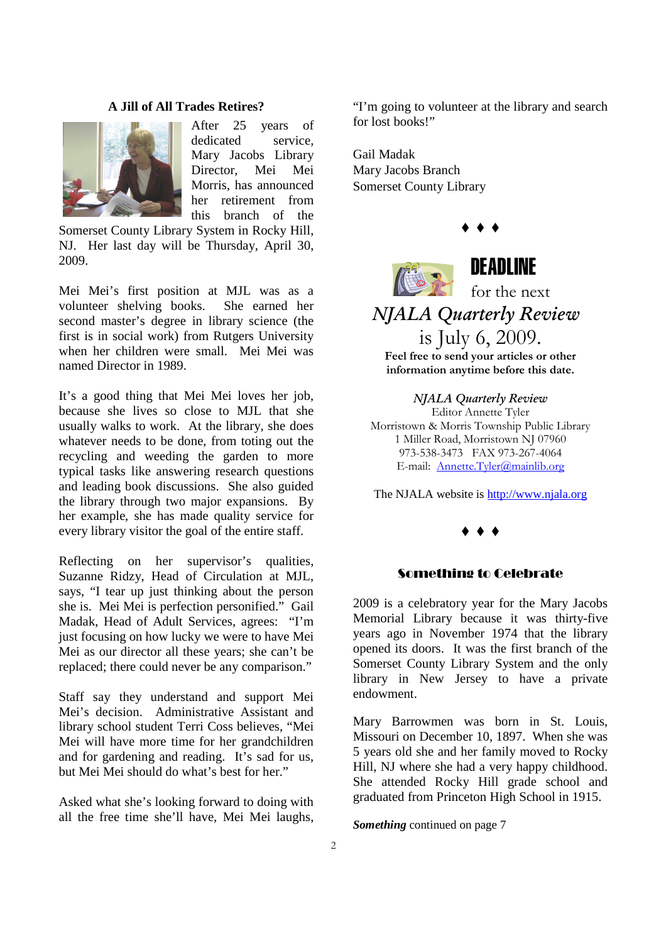#### **A Jill of All Trades Retires?**



After 25 years of dedicated service, Mary Jacobs Library Director, Mei Mei Morris, has announced her retirement from this branch of the

Somerset County Library System in Rocky Hill, NJ. Her last day will be Thursday, April 30, 2009.

Mei Mei's first position at MJL was as a volunteer shelving books. She earned her second master's degree in library science (the first is in social work) from Rutgers University when her children were small. Mei Mei was named Director in 1989.

It's a good thing that Mei Mei loves her job, because she lives so close to MJL that she usually walks to work. At the library, she does whatever needs to be done, from toting out the recycling and weeding the garden to more typical tasks like answering research questions and leading book discussions. She also guided the library through two major expansions. By her example, she has made quality service for every library visitor the goal of the entire staff.

Reflecting on her supervisor's qualities, Suzanne Ridzy, Head of Circulation at MJL, says, "I tear up just thinking about the person she is. Mei Mei is perfection personified." Gail Madak, Head of Adult Services, agrees: "I'm just focusing on how lucky we were to have Mei Mei as our director all these years; she can't be replaced; there could never be any comparison."

Staff say they understand and support Mei Mei's decision. Administrative Assistant and library school student Terri Coss believes, "Mei Mei will have more time for her grandchildren and for gardening and reading. It's sad for us, but Mei Mei should do what's best for her."

Asked what she's looking forward to doing with all the free time she'll have, Mei Mei laughs,

"I'm going to volunteer at the library and search for lost books!"

 $\bullet$   $\bullet$   $\bullet$ 

Gail Madak Mary Jacobs Branch Somerset County Library



## DEADLINE

for the next

### *NJALA Quarterly Review* is July 6, 2009.

**Feel free to send your articles or other information anytime before this date.** 

*NJALA Quarterly Review* Editor Annette Tyler Morristown & Morris Township Public Library 1 Miller Road, Morristown NJ 07960 973-538-3473 FAX 973-267-4064 E-mail: Annette.Tyler@mainlib.org

The NJALA website is http://www.njala.org

#### $\bullet$   $\bullet$   $\bullet$

#### Something to Celebrate

2009 is a celebratory year for the Mary Jacobs Memorial Library because it was thirty-five years ago in November 1974 that the library opened its doors. It was the first branch of the Somerset County Library System and the only library in New Jersey to have a private endowment.

Mary Barrowmen was born in St. Louis, Missouri on December 10, 1897. When she was 5 years old she and her family moved to Rocky Hill, NJ where she had a very happy childhood. She attended Rocky Hill grade school and graduated from Princeton High School in 1915.

*Something* continued on page 7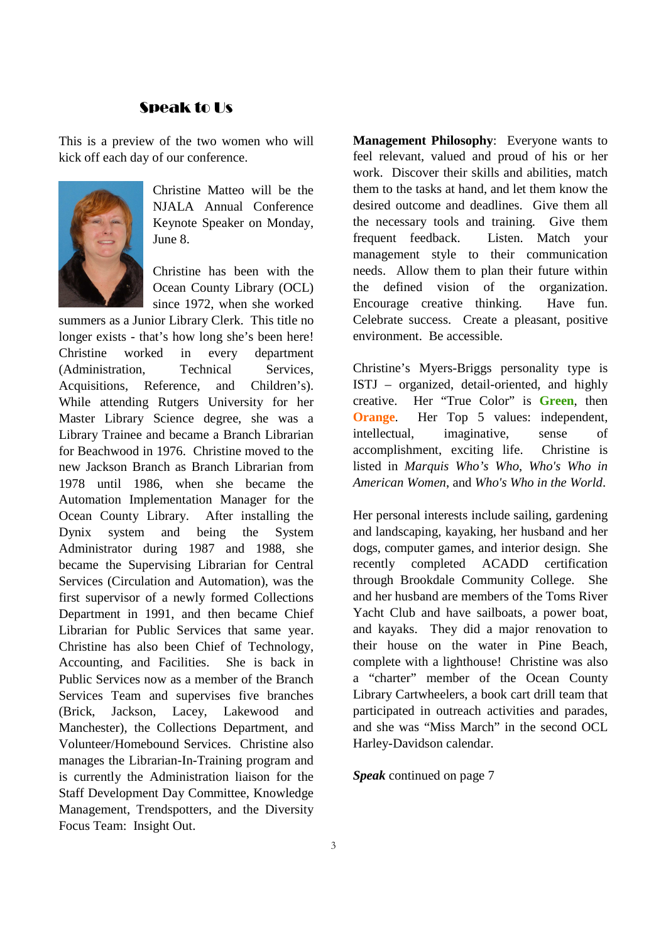### Speak to Us

This is a preview of the two women who will kick off each day of our conference.



Christine Matteo will be the NJALA Annual Conference Keynote Speaker on Monday, June 8.

Christine has been with the Ocean County Library (OCL) since 1972, when she worked

summers as a Junior Library Clerk. This title no longer exists - that's how long she's been here! Christine worked in every department (Administration, Technical Services, Acquisitions, Reference, and Children's). While attending Rutgers University for her Master Library Science degree, she was a Library Trainee and became a Branch Librarian for Beachwood in 1976. Christine moved to the new Jackson Branch as Branch Librarian from 1978 until 1986, when she became the Automation Implementation Manager for the Ocean County Library. After installing the Dynix system and being the System Administrator during 1987 and 1988, she became the Supervising Librarian for Central Services (Circulation and Automation), was the first supervisor of a newly formed Collections Department in 1991, and then became Chief Librarian for Public Services that same year. Christine has also been Chief of Technology, Accounting, and Facilities. She is back in Public Services now as a member of the Branch Services Team and supervises five branches (Brick, Jackson, Lacey, Lakewood and Manchester), the Collections Department, and Volunteer/Homebound Services. Christine also manages the Librarian-In-Training program and is currently the Administration liaison for the Staff Development Day Committee, Knowledge Management, Trendspotters, and the Diversity Focus Team: Insight Out.

**Management Philosophy**: Everyone wants to feel relevant, valued and proud of his or her work. Discover their skills and abilities, match them to the tasks at hand, and let them know the desired outcome and deadlines. Give them all the necessary tools and training. Give them frequent feedback. Listen. Match your management style to their communication needs. Allow them to plan their future within the defined vision of the organization. Encourage creative thinking. Have fun. Celebrate success. Create a pleasant, positive environment. Be accessible.

Christine's Myers-Briggs personality type is ISTJ – organized, detail-oriented, and highly creative. Her "True Color" is **Green**, then **Orange.** Her Top 5 values: independent, intellectual, imaginative, sense of accomplishment, exciting life. Christine is listed in *Marquis Who's Who*, *Who's Who in American Women*, and *Who's Who in the World*.

Her personal interests include sailing, gardening and landscaping, kayaking, her husband and her dogs, computer games, and interior design. She recently completed ACADD certification through Brookdale Community College. She and her husband are members of the Toms River Yacht Club and have sailboats, a power boat, and kayaks. They did a major renovation to their house on the water in Pine Beach, complete with a lighthouse! Christine was also a "charter" member of the Ocean County Library Cartwheelers, a book cart drill team that participated in outreach activities and parades, and she was "Miss March" in the second OCL Harley-Davidson calendar.

*Speak* continued on page 7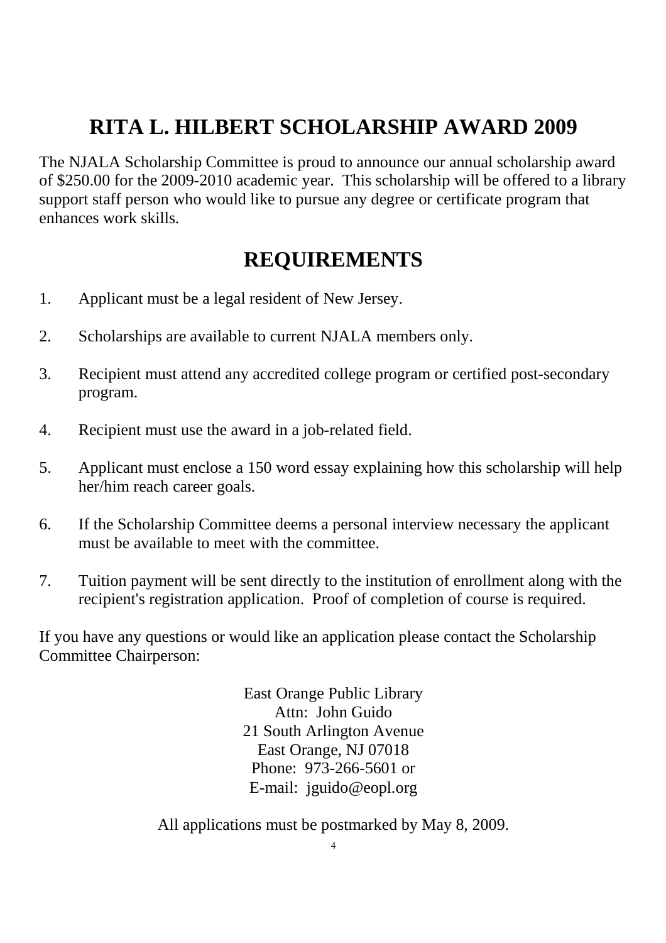# **RITA L. HILBERT SCHOLARSHIP AWARD 2009**

The NJALA Scholarship Committee is proud to announce our annual scholarship award of \$250.00 for the 2009-2010 academic year. This scholarship will be offered to a library support staff person who would like to pursue any degree or certificate program that enhances work skills.

# **REQUIREMENTS**

- 1. Applicant must be a legal resident of New Jersey.
- 2. Scholarships are available to current NJALA members only.
- 3. Recipient must attend any accredited college program or certified post-secondary program.
- 4. Recipient must use the award in a job-related field.
- 5. Applicant must enclose a 150 word essay explaining how this scholarship will help her/him reach career goals.
- 6. If the Scholarship Committee deems a personal interview necessary the applicant must be available to meet with the committee.
- 7. Tuition payment will be sent directly to the institution of enrollment along with the recipient's registration application. Proof of completion of course is required.

If you have any questions or would like an application please contact the Scholarship Committee Chairperson:

> East Orange Public Library Attn: John Guido 21 South Arlington Avenue East Orange, NJ 07018 Phone: 973-266-5601 or E-mail: jguido@eopl.org

All applications must be postmarked by May 8, 2009.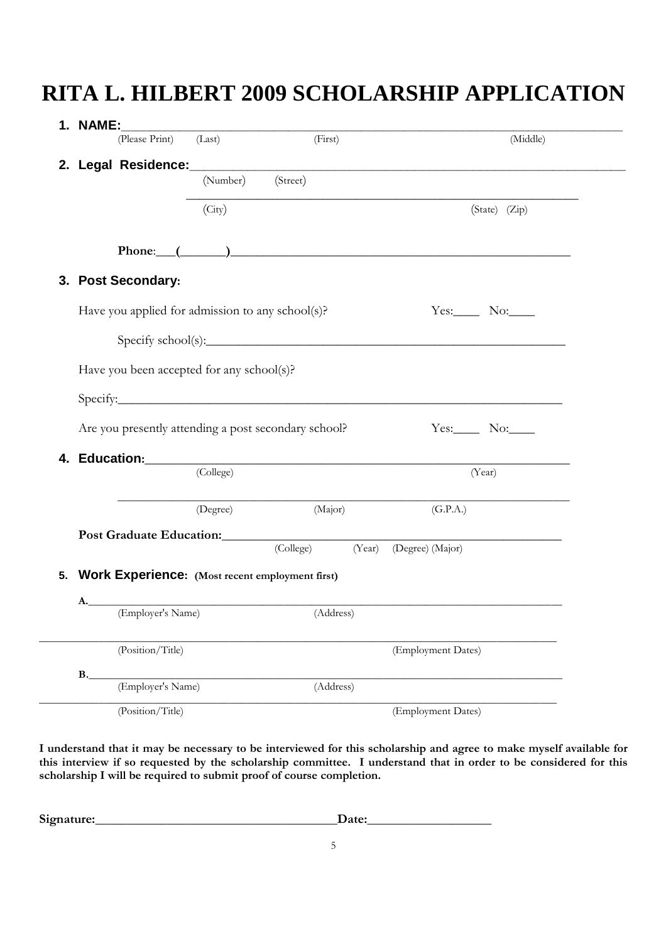# **RITA L. HILBERT 2009 SCHOLARSHIP APPLICATION**

| 1. NAME:    |                                                      |           |           |        |                                                                                                                                                                                                                               |               |
|-------------|------------------------------------------------------|-----------|-----------|--------|-------------------------------------------------------------------------------------------------------------------------------------------------------------------------------------------------------------------------------|---------------|
|             | (Please Print) (Last)                                |           | (First)   |        |                                                                                                                                                                                                                               | (Middle)      |
|             |                                                      | (Number)  | (Street)  |        |                                                                                                                                                                                                                               |               |
|             |                                                      |           |           |        |                                                                                                                                                                                                                               |               |
|             |                                                      | (City)    |           |        |                                                                                                                                                                                                                               | (State) (Zip) |
|             |                                                      |           |           |        | Phone: $($ and $)$ and $($ and $)$ and $($ and $)$ and $($ and $)$ and $($ and $)$ and $($ and $)$ and $($ and $)$ and $($ and $)$ and $($ and $)$ and $($ and $)$ and $($ and $)$ and $($ and $)$ and $($ and $)$ and $($ an |               |
|             | 3. Post Secondary:                                   |           |           |        |                                                                                                                                                                                                                               |               |
|             | Have you applied for admission to any school(s)?     |           |           |        | $Yes.$ No:                                                                                                                                                                                                                    |               |
|             |                                                      |           |           |        | $\text{Specify school(s):}$                                                                                                                                                                                                   |               |
|             |                                                      |           |           |        |                                                                                                                                                                                                                               |               |
|             | Have you been accepted for any school(s)?            |           |           |        |                                                                                                                                                                                                                               |               |
|             |                                                      |           |           |        | Specify: Specify:                                                                                                                                                                                                             |               |
|             | Are you presently attending a post secondary school? |           |           |        | $Yes:$ No:                                                                                                                                                                                                                    |               |
| 4.          |                                                      |           |           |        |                                                                                                                                                                                                                               |               |
|             |                                                      | (College) |           |        | (Year)                                                                                                                                                                                                                        |               |
|             |                                                      | (Degree)  | (Major)   |        | (G.P.A.)                                                                                                                                                                                                                      |               |
|             |                                                      |           |           |        | Post Graduate Education: Note of the Contract of the Contract of the Contract of the Contract of the Contract of the Contract of the Contract of the Contract of the Contract of the Contract of the Contract of the Contract |               |
|             |                                                      |           | (College) | (Year) | (Degree) (Major)                                                                                                                                                                                                              |               |
| 5.          | Work Experience: (Most recent employment first)      |           |           |        |                                                                                                                                                                                                                               |               |
| A.          |                                                      |           |           |        |                                                                                                                                                                                                                               |               |
|             | (Employer's Name)                                    |           | (Address) |        |                                                                                                                                                                                                                               |               |
|             | (Position/Title)                                     |           |           |        | (Employment Dates)                                                                                                                                                                                                            |               |
| $B_{\cdot}$ | (Employer's Name)                                    |           | (Address) |        |                                                                                                                                                                                                                               |               |
|             |                                                      |           |           |        |                                                                                                                                                                                                                               |               |
|             | (Position/Title)                                     |           |           |        | (Employment Dates)                                                                                                                                                                                                            |               |

**I understand that it may be necessary to be interviewed for this scholarship and agree to make myself available for this interview if so requested by the scholarship committee. I understand that in order to be considered for this scholarship I will be required to submit proof of course completion.** 

| Signature: | $\bm{\mathcal{Q}}$ ate: |
|------------|-------------------------|
|            |                         |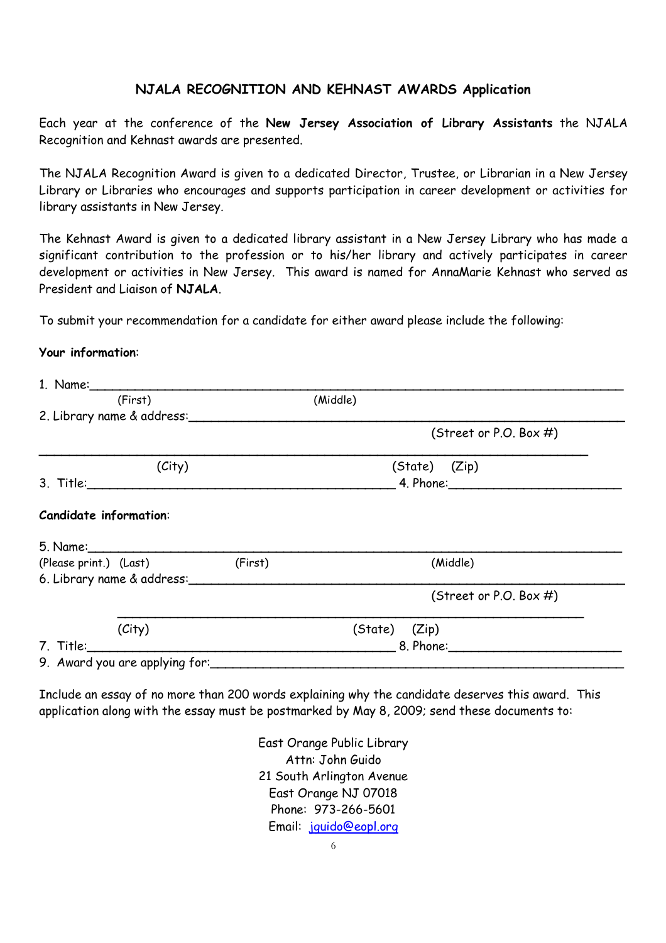### **NJALA RECOGNITION AND KEHNAST AWARDS Application**

Each year at the conference of the **New Jersey Association of Library Assistants** the NJALA Recognition and Kehnast awards are presented.

The NJALA Recognition Award is given to a dedicated Director, Trustee, or Librarian in a New Jersey Library or Libraries who encourages and supports participation in career development or activities for library assistants in New Jersey.

The Kehnast Award is given to a dedicated library assistant in a New Jersey Library who has made a significant contribution to the profession or to his/her library and actively participates in career development or activities in New Jersey. This award is named for AnnaMarie Kehnast who served as President and Liaison of **NJALA**.

To submit your recommendation for a candidate for either award please include the following:

### **Your information**:

| (First)                                                                                                                                                                                                                        | (Middle)                                                                                                                                                                                                                       |  |  |  |
|--------------------------------------------------------------------------------------------------------------------------------------------------------------------------------------------------------------------------------|--------------------------------------------------------------------------------------------------------------------------------------------------------------------------------------------------------------------------------|--|--|--|
| 2. Library name & address:                                                                                                                                                                                                     |                                                                                                                                                                                                                                |  |  |  |
|                                                                                                                                                                                                                                | (Street or P.O. Box $#$ )                                                                                                                                                                                                      |  |  |  |
| (City)                                                                                                                                                                                                                         | (State) (Zip)                                                                                                                                                                                                                  |  |  |  |
|                                                                                                                                                                                                                                |                                                                                                                                                                                                                                |  |  |  |
| <b>Candidate information:</b>                                                                                                                                                                                                  |                                                                                                                                                                                                                                |  |  |  |
|                                                                                                                                                                                                                                |                                                                                                                                                                                                                                |  |  |  |
| (Please print.) (Last) (First)                                                                                                                                                                                                 | (Middle)                                                                                                                                                                                                                       |  |  |  |
|                                                                                                                                                                                                                                |                                                                                                                                                                                                                                |  |  |  |
|                                                                                                                                                                                                                                | (Street or P.O. Box $#$ )                                                                                                                                                                                                      |  |  |  |
| (City)                                                                                                                                                                                                                         | (State) (Zip)                                                                                                                                                                                                                  |  |  |  |
| 7. Title: The Second State of the Second State of the Second State of the Second State of the Second State of the Second State of the Second State of the Second State of the Second State of the Second State of the Second S |                                                                                                                                                                                                                                |  |  |  |
|                                                                                                                                                                                                                                | 9. Award you are applying for: 10.1000 minutes and the state of the state of the state of the state of the state of the state of the state of the state of the state of the state of the state of the state of the state of th |  |  |  |

Include an essay of no more than 200 words explaining why the candidate deserves this award. This application along with the essay must be postmarked by May 8, 2009; send these documents to:

> East Orange Public Library Attn: John Guido 21 South Arlington Avenue East Orange NJ 07018 Phone: 973-266-5601 Email: jguido@eopl.org